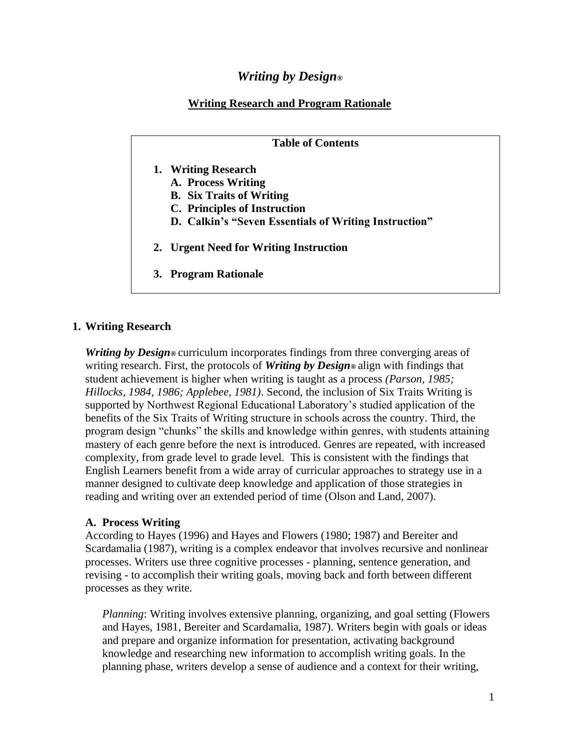# *Writing by Design®*

## **Writing Research and Program Rationale**

### **Table of Contents**

- **1. Writing Research** 
	- **A. Process Writing**
	- **B. Six Traits of Writing**
	- **C. Principles of Instruction**
	- **D. Calkin's "Seven Essentials of Writing Instruction"**
- **2. Urgent Need for Writing Instruction**
- **3. Program Rationale**

## **1. Writing Research**

*Writing by Design*<sup>®</sup> curriculum incorporates findings from three converging areas of writing research. First, the protocols of *Writing by Design®* align with findings that student achievement is higher when writing is taught as a process *(Parson, 1985; Hillocks, 1984, 1986; Applebee, 1981)*. Second, the inclusion of Six Traits Writing is supported by Northwest Regional Educational Laboratory's studied application of the benefits of the Six Traits of Writing structure in schools across the country. Third, the program design "chunks" the skills and knowledge within genres, with students attaining mastery of each genre before the next is introduced. Genres are repeated, with increased complexity, from grade level to grade level. This is consistent with the findings that English Learners benefit from a wide array of curricular approaches to strategy use in a manner designed to cultivate deep knowledge and application of those strategies in reading and writing over an extended period of time (Olson and Land, 2007).

## **A. Process Writing**

According to Hayes (1996) and Hayes and Flowers (1980; 1987) and Bereiter and Scardamalia (1987), writing is a complex endeavor that involves recursive and nonlinear processes. Writers use three cognitive processes - planning, sentence generation, and revising - to accomplish their writing goals, moving back and forth between different processes as they write.

*Planning*: Writing involves extensive planning, organizing, and goal setting (Flowers and Hayes, 1981, Bereiter and Scardamalia, 1987). Writers begin with goals or ideas and prepare and organize information for presentation, activating background knowledge and researching new information to accomplish writing goals. In the planning phase, writers develop a sense of audience and a context for their writing,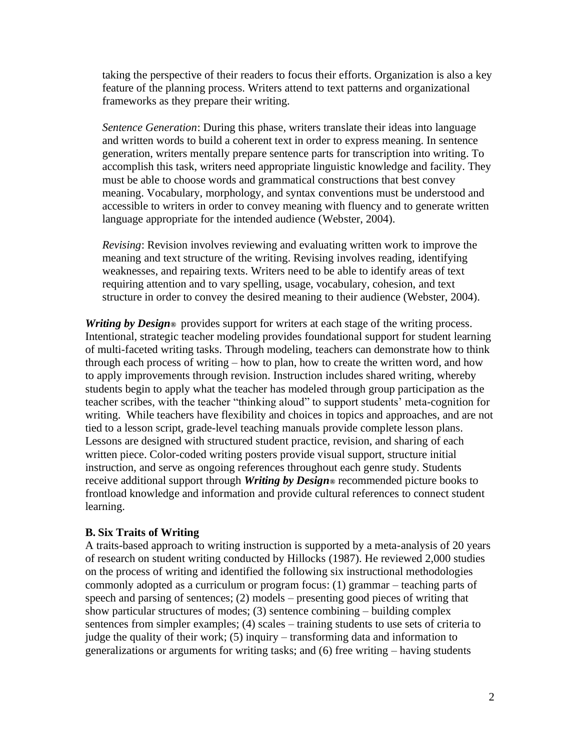taking the perspective of their readers to focus their efforts. Organization is also a key feature of the planning process. Writers attend to text patterns and organizational frameworks as they prepare their writing.

*Sentence Generation*: During this phase, writers translate their ideas into language and written words to build a coherent text in order to express meaning. In sentence generation, writers mentally prepare sentence parts for transcription into writing. To accomplish this task, writers need appropriate linguistic knowledge and facility. They must be able to choose words and grammatical constructions that best convey meaning. Vocabulary, morphology, and syntax conventions must be understood and accessible to writers in order to convey meaning with fluency and to generate written language appropriate for the intended audience (Webster, 2004).

*Revising*: Revision involves reviewing and evaluating written work to improve the meaning and text structure of the writing. Revising involves reading, identifying weaknesses, and repairing texts. Writers need to be able to identify areas of text requiring attention and to vary spelling, usage, vocabulary, cohesion, and text structure in order to convey the desired meaning to their audience (Webster, 2004).

*Writing by Design*<sup>®</sup> provides support for writers at each stage of the writing process. Intentional, strategic teacher modeling provides foundational support for student learning of multi-faceted writing tasks. Through modeling, teachers can demonstrate how to think through each process of writing – how to plan, how to create the written word, and how to apply improvements through revision. Instruction includes shared writing, whereby students begin to apply what the teacher has modeled through group participation as the teacher scribes, with the teacher "thinking aloud" to support students' meta-cognition for writing. While teachers have flexibility and choices in topics and approaches, and are not tied to a lesson script, grade-level teaching manuals provide complete lesson plans. Lessons are designed with structured student practice, revision, and sharing of each written piece. Color-coded writing posters provide visual support, structure initial instruction, and serve as ongoing references throughout each genre study. Students receive additional support through *Writing by Design®* recommended picture books to frontload knowledge and information and provide cultural references to connect student learning.

#### **B. Six Traits of Writing**

A traits-based approach to writing instruction is supported by a meta-analysis of 20 years of research on student writing conducted by Hillocks (1987). He reviewed 2,000 studies on the process of writing and identified the following six instructional methodologies commonly adopted as a curriculum or program focus: (1) grammar – teaching parts of speech and parsing of sentences; (2) models – presenting good pieces of writing that show particular structures of modes; (3) sentence combining – building complex sentences from simpler examples; (4) scales – training students to use sets of criteria to judge the quality of their work; (5) inquiry – transforming data and information to generalizations or arguments for writing tasks; and (6) free writing – having students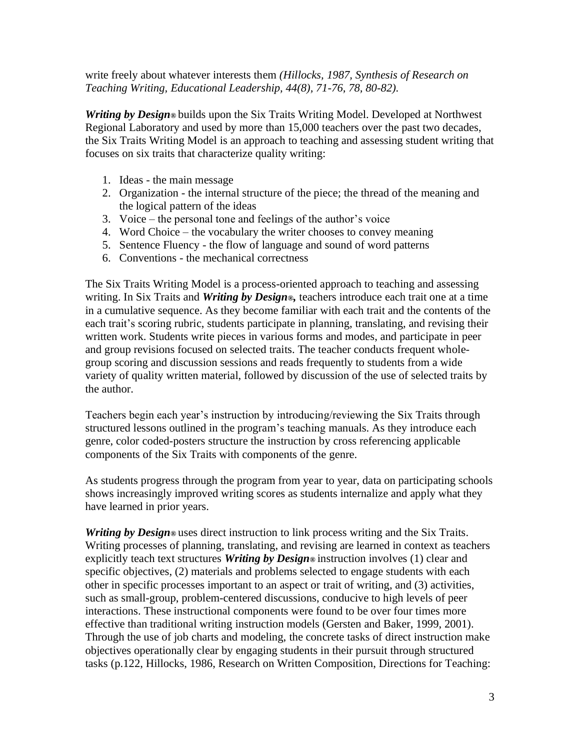write freely about whatever interests them *(Hillocks, 1987, Synthesis of Research on Teaching Writing, Educational Leadership, 44(8), 71-76, 78, 80-82).*

*Writing by Design*<sup>®</sup> builds upon the Six Traits Writing Model. Developed at Northwest Regional Laboratory and used by more than 15,000 teachers over the past two decades, the Six Traits Writing Model is an approach to teaching and assessing student writing that focuses on six traits that characterize quality writing:

- 1. Ideas the main message
- 2. Organization the internal structure of the piece; the thread of the meaning and the logical pattern of the ideas
- 3. Voice the personal tone and feelings of the author's voice
- 4. Word Choice the vocabulary the writer chooses to convey meaning
- 5. Sentence Fluency the flow of language and sound of word patterns
- 6. Conventions the mechanical correctness

The Six Traits Writing Model is a process-oriented approach to teaching and assessing writing. In Six Traits and *Writing by Design®,* teachers introduce each trait one at a time in a cumulative sequence. As they become familiar with each trait and the contents of the each trait's scoring rubric, students participate in planning, translating, and revising their written work. Students write pieces in various forms and modes, and participate in peer and group revisions focused on selected traits. The teacher conducts frequent wholegroup scoring and discussion sessions and reads frequently to students from a wide variety of quality written material, followed by discussion of the use of selected traits by the author.

Teachers begin each year's instruction by introducing/reviewing the Six Traits through structured lessons outlined in the program's teaching manuals. As they introduce each genre, color coded-posters structure the instruction by cross referencing applicable components of the Six Traits with components of the genre.

As students progress through the program from year to year, data on participating schools shows increasingly improved writing scores as students internalize and apply what they have learned in prior years.

*Writing by Design*<sup>®</sup> uses direct instruction to link process writing and the Six Traits. Writing processes of planning, translating, and revising are learned in context as teachers explicitly teach text structures *Writing by Design®* instruction involves (1) clear and specific objectives, (2) materials and problems selected to engage students with each other in specific processes important to an aspect or trait of writing, and (3) activities, such as small-group, problem-centered discussions, conducive to high levels of peer interactions. These instructional components were found to be over four times more effective than traditional writing instruction models (Gersten and Baker, 1999, 2001). Through the use of job charts and modeling, the concrete tasks of direct instruction make objectives operationally clear by engaging students in their pursuit through structured tasks (p.122, Hillocks, 1986, Research on Written Composition, Directions for Teaching: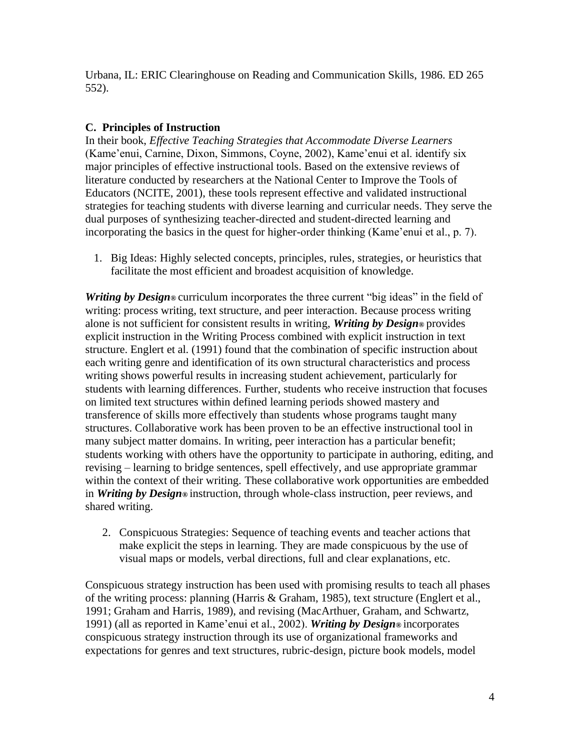Urbana, IL: ERIC Clearinghouse on Reading and Communication Skills, 1986. ED 265 552).

# **C. Principles of Instruction**

In their book, *Effective Teaching Strategies that Accommodate Diverse Learners* (Kame'enui, Carnine, Dixon, Simmons, Coyne, 2002), Kame'enui et al. identify six major principles of effective instructional tools. Based on the extensive reviews of literature conducted by researchers at the National Center to Improve the Tools of Educators (NCITE, 2001), these tools represent effective and validated instructional strategies for teaching students with diverse learning and curricular needs. They serve the dual purposes of synthesizing teacher-directed and student-directed learning and incorporating the basics in the quest for higher-order thinking (Kame'enui et al., p. 7).

1. Big Ideas: Highly selected concepts, principles, rules, strategies, or heuristics that facilitate the most efficient and broadest acquisition of knowledge.

*Writing by Design*<sup>®</sup> curriculum incorporates the three current "big ideas" in the field of writing: process writing, text structure, and peer interaction. Because process writing alone is not sufficient for consistent results in writing, *Writing by Design®* provides explicit instruction in the Writing Process combined with explicit instruction in text structure. Englert et al. (1991) found that the combination of specific instruction about each writing genre and identification of its own structural characteristics and process writing shows powerful results in increasing student achievement, particularly for students with learning differences. Further, students who receive instruction that focuses on limited text structures within defined learning periods showed mastery and transference of skills more effectively than students whose programs taught many structures. Collaborative work has been proven to be an effective instructional tool in many subject matter domains. In writing, peer interaction has a particular benefit; students working with others have the opportunity to participate in authoring, editing, and revising – learning to bridge sentences, spell effectively, and use appropriate grammar within the context of their writing. These collaborative work opportunities are embedded in *Writing by Design®* instruction, through whole-class instruction, peer reviews, and shared writing.

2. Conspicuous Strategies: Sequence of teaching events and teacher actions that make explicit the steps in learning. They are made conspicuous by the use of visual maps or models, verbal directions, full and clear explanations, etc.

Conspicuous strategy instruction has been used with promising results to teach all phases of the writing process: planning (Harris & Graham, 1985), text structure (Englert et al., 1991; Graham and Harris, 1989), and revising (MacArthuer, Graham, and Schwartz, 1991) (all as reported in Kame'enui et al., 2002). *Writing by Design®* incorporates conspicuous strategy instruction through its use of organizational frameworks and expectations for genres and text structures, rubric-design, picture book models, model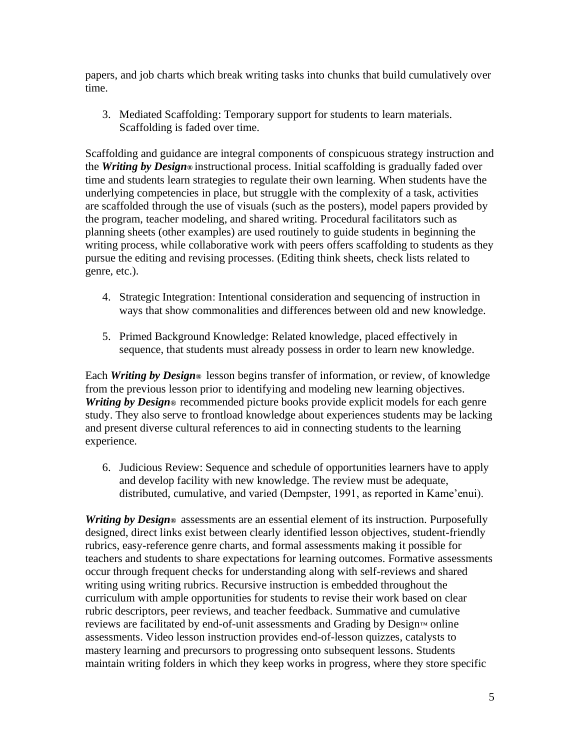papers, and job charts which break writing tasks into chunks that build cumulatively over time.

3. Mediated Scaffolding: Temporary support for students to learn materials. Scaffolding is faded over time.

Scaffolding and guidance are integral components of conspicuous strategy instruction and the *Writing by Design®* instructional process. Initial scaffolding is gradually faded over time and students learn strategies to regulate their own learning. When students have the underlying competencies in place, but struggle with the complexity of a task, activities are scaffolded through the use of visuals (such as the posters), model papers provided by the program, teacher modeling, and shared writing. Procedural facilitators such as planning sheets (other examples) are used routinely to guide students in beginning the writing process, while collaborative work with peers offers scaffolding to students as they pursue the editing and revising processes. (Editing think sheets, check lists related to genre, etc.).

- 4. Strategic Integration: Intentional consideration and sequencing of instruction in ways that show commonalities and differences between old and new knowledge.
- 5. Primed Background Knowledge: Related knowledge, placed effectively in sequence, that students must already possess in order to learn new knowledge.

Each *Writing by Design®* lesson begins transfer of information, or review, of knowledge from the previous lesson prior to identifying and modeling new learning objectives. *Writing by Design*<sup>®</sup> recommended picture books provide explicit models for each genre study. They also serve to frontload knowledge about experiences students may be lacking and present diverse cultural references to aid in connecting students to the learning experience.

6. Judicious Review: Sequence and schedule of opportunities learners have to apply and develop facility with new knowledge. The review must be adequate, distributed, cumulative, and varied (Dempster, 1991, as reported in Kame'enui).

*Writing by Design*<sup>®</sup> assessments are an essential element of its instruction. Purposefully designed, direct links exist between clearly identified lesson objectives, student-friendly rubrics, easy-reference genre charts, and formal assessments making it possible for teachers and students to share expectations for learning outcomes. Formative assessments occur through frequent checks for understanding along with self-reviews and shared writing using writing rubrics. Recursive instruction is embedded throughout the curriculum with ample opportunities for students to revise their work based on clear rubric descriptors, peer reviews, and teacher feedback. Summative and cumulative reviews are facilitated by end-of-unit assessments and Grading by Design™ online assessments. Video lesson instruction provides end-of-lesson quizzes, catalysts to mastery learning and precursors to progressing onto subsequent lessons. Students maintain writing folders in which they keep works in progress, where they store specific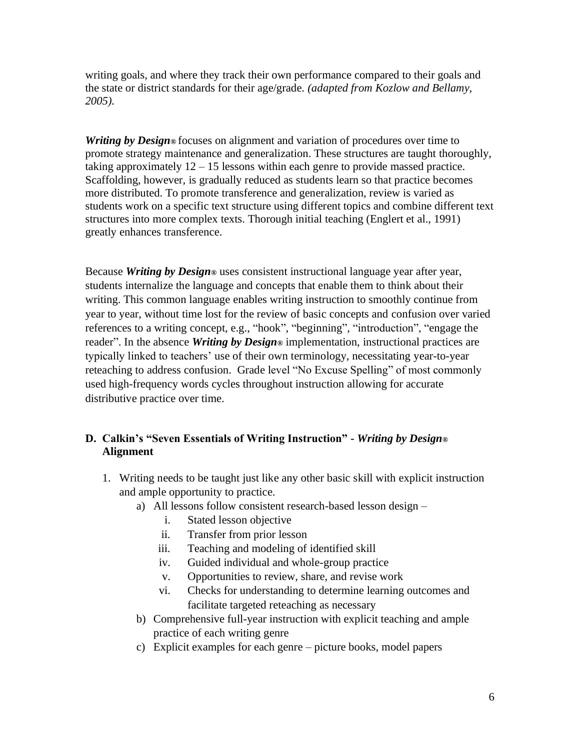writing goals, and where they track their own performance compared to their goals and the state or district standards for their age/grade*. (adapted from Kozlow and Bellamy, 2005).*

*Writing by Design®* focuses on alignment and variation of procedures over time to promote strategy maintenance and generalization. These structures are taught thoroughly, taking approximately  $12 - 15$  lessons within each genre to provide massed practice. Scaffolding, however, is gradually reduced as students learn so that practice becomes more distributed. To promote transference and generalization, review is varied as students work on a specific text structure using different topics and combine different text structures into more complex texts. Thorough initial teaching (Englert et al., 1991) greatly enhances transference.

Because *Writing by Design®* uses consistent instructional language year after year, students internalize the language and concepts that enable them to think about their writing. This common language enables writing instruction to smoothly continue from year to year, without time lost for the review of basic concepts and confusion over varied references to a writing concept, e.g., "hook", "beginning", "introduction", "engage the reader". In the absence *Writing by Design®* implementation, instructional practices are typically linked to teachers' use of their own terminology, necessitating year-to-year reteaching to address confusion. Grade level "No Excuse Spelling" of most commonly used high-frequency words cycles throughout instruction allowing for accurate distributive practice over time.

# **D. Calkin's "Seven Essentials of Writing Instruction" -** *Writing by Design®* **Alignment**

- 1. Writing needs to be taught just like any other basic skill with explicit instruction and ample opportunity to practice.
	- a) All lessons follow consistent research-based lesson design
		- i. Stated lesson objective
		- ii. Transfer from prior lesson
		- iii. Teaching and modeling of identified skill
		- iv. Guided individual and whole-group practice
		- v. Opportunities to review, share, and revise work
		- vi. Checks for understanding to determine learning outcomes and facilitate targeted reteaching as necessary
	- b) Comprehensive full-year instruction with explicit teaching and ample practice of each writing genre
	- c) Explicit examples for each genre picture books, model papers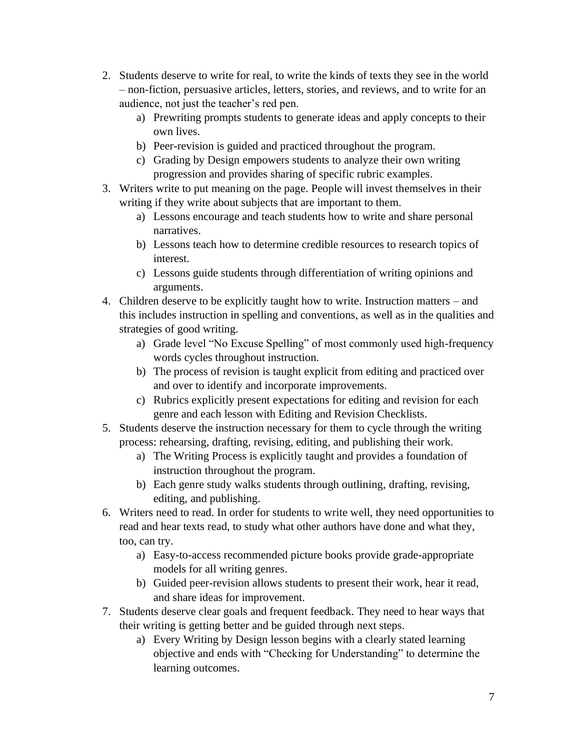- 2. Students deserve to write for real, to write the kinds of texts they see in the world – non-fiction, persuasive articles, letters, stories, and reviews, and to write for an audience, not just the teacher's red pen.
	- a) Prewriting prompts students to generate ideas and apply concepts to their own lives.
	- b) Peer-revision is guided and practiced throughout the program.
	- c) Grading by Design empowers students to analyze their own writing progression and provides sharing of specific rubric examples.
- 3. Writers write to put meaning on the page. People will invest themselves in their writing if they write about subjects that are important to them.
	- a) Lessons encourage and teach students how to write and share personal narratives.
	- b) Lessons teach how to determine credible resources to research topics of interest.
	- c) Lessons guide students through differentiation of writing opinions and arguments.
- 4. Children deserve to be explicitly taught how to write. Instruction matters and this includes instruction in spelling and conventions, as well as in the qualities and strategies of good writing.
	- a) Grade level "No Excuse Spelling" of most commonly used high-frequency words cycles throughout instruction.
	- b) The process of revision is taught explicit from editing and practiced over and over to identify and incorporate improvements.
	- c) Rubrics explicitly present expectations for editing and revision for each genre and each lesson with Editing and Revision Checklists.
- 5. Students deserve the instruction necessary for them to cycle through the writing process: rehearsing, drafting, revising, editing, and publishing their work.
	- a) The Writing Process is explicitly taught and provides a foundation of instruction throughout the program.
	- b) Each genre study walks students through outlining, drafting, revising, editing, and publishing.
- 6. Writers need to read. In order for students to write well, they need opportunities to read and hear texts read, to study what other authors have done and what they, too, can try.
	- a) Easy-to-access recommended picture books provide grade-appropriate models for all writing genres.
	- b) Guided peer-revision allows students to present their work, hear it read, and share ideas for improvement.
- 7. Students deserve clear goals and frequent feedback. They need to hear ways that their writing is getting better and be guided through next steps.
	- a) Every Writing by Design lesson begins with a clearly stated learning objective and ends with "Checking for Understanding" to determine the learning outcomes.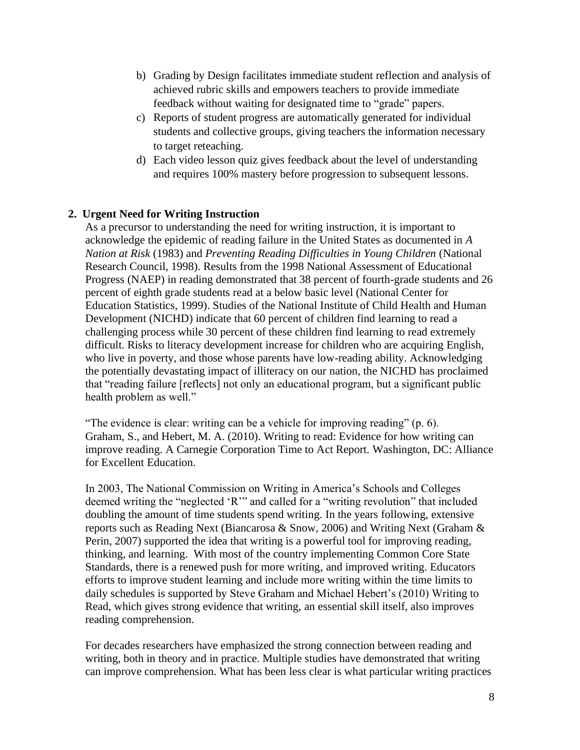- b) Grading by Design facilitates immediate student reflection and analysis of achieved rubric skills and empowers teachers to provide immediate feedback without waiting for designated time to "grade" papers.
- c) Reports of student progress are automatically generated for individual students and collective groups, giving teachers the information necessary to target reteaching.
- d) Each video lesson quiz gives feedback about the level of understanding and requires 100% mastery before progression to subsequent lessons.

# **2. Urgent Need for Writing Instruction**

As a precursor to understanding the need for writing instruction, it is important to acknowledge the epidemic of reading failure in the United States as documented in *A Nation at Risk* (1983) and *Preventing Reading Difficulties in Young Children* (National Research Council, 1998). Results from the 1998 National Assessment of Educational Progress (NAEP) in reading demonstrated that 38 percent of fourth-grade students and 26 percent of eighth grade students read at a below basic level (National Center for Education Statistics, 1999). Studies of the National Institute of Child Health and Human Development (NICHD) indicate that 60 percent of children find learning to read a challenging process while 30 percent of these children find learning to read extremely difficult. Risks to literacy development increase for children who are acquiring English, who live in poverty, and those whose parents have low-reading ability. Acknowledging the potentially devastating impact of illiteracy on our nation, the NICHD has proclaimed that "reading failure [reflects] not only an educational program, but a significant public health problem as well."

"The evidence is clear: writing can be a vehicle for improving reading" (p. 6). Graham, S., and Hebert, M. A. (2010). Writing to read: Evidence for how writing can improve reading. A Carnegie Corporation Time to Act Report. Washington, DC: Alliance for Excellent Education.

In 2003, The National Commission on Writing in America's Schools and Colleges deemed writing the "neglected 'R'" and called for a "writing revolution" that included doubling the amount of time students spend writing. In the years following, extensive reports such as Reading Next (Biancarosa & Snow, 2006) and Writing Next (Graham & Perin, 2007) supported the idea that writing is a powerful tool for improving reading, thinking, and learning. With most of the country implementing Common Core State Standards, there is a renewed push for more writing, and improved writing. Educators efforts to improve student learning and include more writing within the time limits to daily schedules is supported by Steve Graham and Michael Hebert's (2010) Writing to Read, which gives strong evidence that writing, an essential skill itself, also improves reading comprehension.

For decades researchers have emphasized the strong connection between reading and writing, both in theory and in practice. Multiple studies have demonstrated that writing can improve comprehension. What has been less clear is what particular writing practices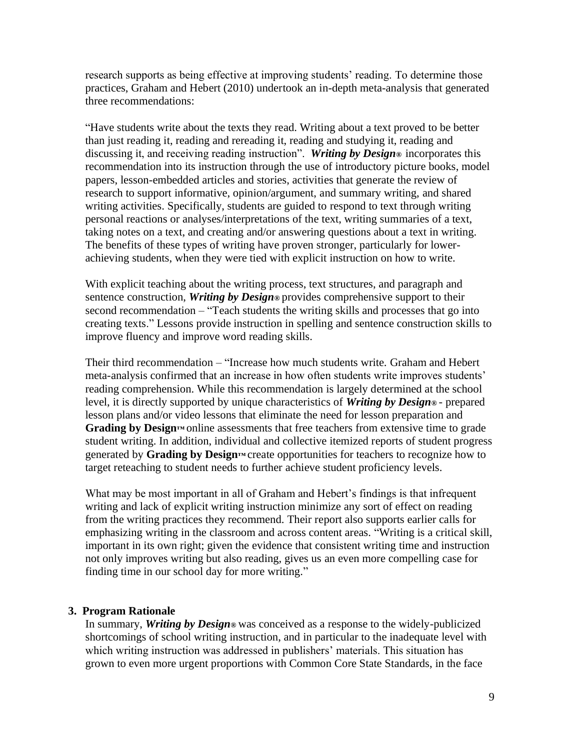research supports as being effective at improving students' reading. To determine those practices, Graham and Hebert (2010) undertook an in-depth meta-analysis that generated three recommendations:

"Have students write about the texts they read. Writing about a text proved to be better than just reading it, reading and rereading it, reading and studying it, reading and discussing it, and receiving reading instruction". *Writing by Design®* incorporates this recommendation into its instruction through the use of introductory picture books, model papers, lesson-embedded articles and stories, activities that generate the review of research to support informative, opinion/argument, and summary writing, and shared writing activities. Specifically, students are guided to respond to text through writing personal reactions or analyses/interpretations of the text, writing summaries of a text, taking notes on a text, and creating and/or answering questions about a text in writing. The benefits of these types of writing have proven stronger, particularly for lowerachieving students, when they were tied with explicit instruction on how to write.

With explicit teaching about the writing process, text structures, and paragraph and sentence construction, *Writing by Design®* provides comprehensive support to their second recommendation – "Teach students the writing skills and processes that go into creating texts." Lessons provide instruction in spelling and sentence construction skills to improve fluency and improve word reading skills.

Their third recommendation – "Increase how much students write. Graham and Hebert meta-analysis confirmed that an increase in how often students write improves students' reading comprehension. While this recommendation is largely determined at the school level, it is directly supported by unique characteristics of *Writing by Design®* - prepared lesson plans and/or video lessons that eliminate the need for lesson preparation and **Grading by Design™** online assessments that free teachers from extensive time to grade student writing. In addition, individual and collective itemized reports of student progress generated by **Grading by Design™** create opportunities for teachers to recognize how to target reteaching to student needs to further achieve student proficiency levels.

What may be most important in all of Graham and Hebert's findings is that infrequent writing and lack of explicit writing instruction minimize any sort of effect on reading from the writing practices they recommend. Their report also supports earlier calls for emphasizing writing in the classroom and across content areas. "Writing is a critical skill, important in its own right; given the evidence that consistent writing time and instruction not only improves writing but also reading, gives us an even more compelling case for finding time in our school day for more writing."

#### **3. Program Rationale**

In summary, *Writing by Design®* was conceived as a response to the widely-publicized shortcomings of school writing instruction, and in particular to the inadequate level with which writing instruction was addressed in publishers' materials. This situation has grown to even more urgent proportions with Common Core State Standards, in the face